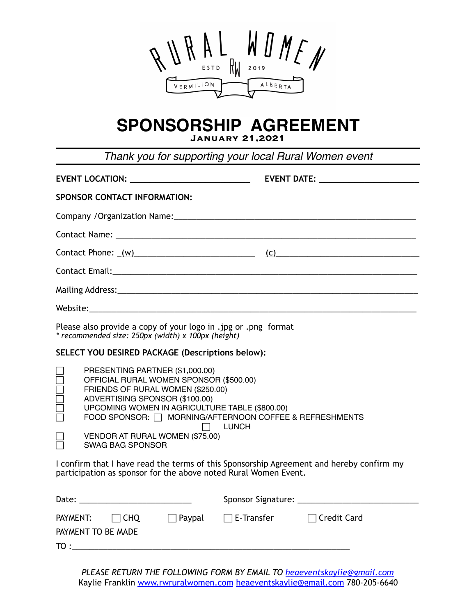

# **SPONSORSHIP AGREEMENT**

**January 21,2021** 

*Thank you for supporting your local Rural Women event* **EVENT LOCATION: \_\_\_\_\_\_\_\_\_\_\_\_\_\_\_\_\_\_\_\_\_\_\_\_ EVENT DATE: \_\_\_\_\_\_\_\_\_\_\_\_\_\_\_\_\_\_\_\_ SPONSOR CONTACT INFORMATION:**  Company /Organization Name:\_\_\_\_\_\_\_\_\_\_\_\_\_\_\_\_\_\_\_\_\_\_\_\_\_\_\_\_\_\_\_\_\_\_\_\_\_\_\_\_\_\_\_\_\_\_\_\_\_\_\_\_\_\_ Contact Name: \_\_\_\_\_\_\_\_\_\_\_\_\_\_\_\_\_\_\_\_\_\_\_\_\_\_\_\_\_\_\_\_\_\_\_\_\_\_\_\_\_\_\_\_\_\_\_\_\_\_\_\_\_\_\_\_\_\_\_\_\_\_\_\_\_\_\_  $\text{Context Phone: } \_\text{(w)}$ Contact Email:\_\_\_\_\_\_\_\_\_\_\_\_\_\_\_\_\_\_\_\_\_\_\_\_\_\_\_\_\_\_\_\_\_\_\_\_\_\_\_\_\_\_\_\_\_\_\_\_\_\_\_\_\_\_\_\_\_\_\_\_\_\_\_\_\_\_\_\_ Mailing Address:\_\_\_\_\_\_\_\_\_\_\_\_\_\_\_\_\_\_\_\_\_\_\_\_\_\_\_\_\_\_\_\_\_\_\_\_\_\_\_\_\_\_\_\_\_\_\_\_\_\_\_\_\_\_\_\_\_\_\_\_\_\_\_\_\_\_\_ Website: Please also provide a copy of your logo in .jpg or .png format *\* recommended size: 250px (width) x 100px (height)* **SELECT YOU DESIRED PACKAGE (Descriptions below):**  PRESENTING PARTNER (\$1,000.00) ! OFFICIAL RURAL WOMEN SPONSOR (\$500.00) FRIENDS OF RURAL WOMEN (\$250.00) ! ADVERTISING SPONSOR (\$100.00) ! UPCOMING WOMEN IN AGRICULTURE TABLE (\$800.00) FOOD SPONSOR:  $\Box$  MORNING/AFTERNOON COFFEE & REFRESHMENTS  $\Box$  LUNCH VENDOR AT RURAL WOMEN (\$75.00) ! SWAG BAG SPONSOR I confirm that I have read the terms of this Sponsorship Agreement and hereby confirm my participation as sponsor for the above noted Rural Women Event. Date: \_\_\_\_\_\_\_\_\_\_\_\_\_\_\_\_\_\_\_\_\_\_\_\_\_ Sponsor Signature: \_\_\_\_\_\_\_\_\_\_\_\_\_\_\_\_\_\_\_\_\_\_\_\_\_\_\_ PAYMENT: CHQ Paypal E-Transfer Credit Card PAYMENT TO BE MADE  $\texttt{TO}: \underline{\hspace{1.5cm}}$ 

*PLEASE RETURN THE FOLLOWING FORM BY EMAIL TO [heaeventskaylie@gmail.com](mailto:heaeventskaylie@gmail.com)* Kaylie Franklin [www.rwruralwomen.com](http://www.rwruralwomen.com) [heaeventskaylie@gmail.com](mailto:heaeventskaylie@gmail.com) 780-205-6640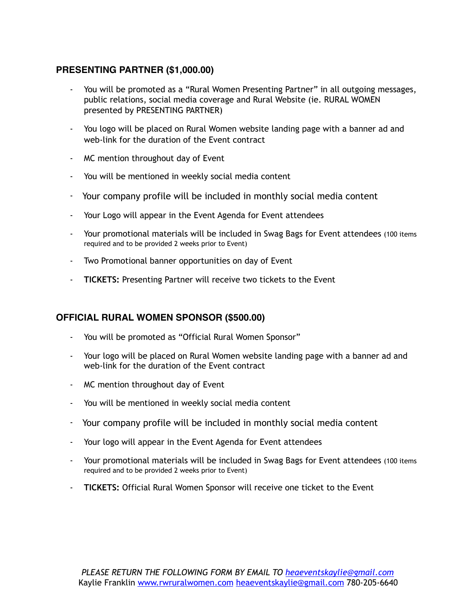# **PRESENTING PARTNER (\$1,000.00)**

- You will be promoted as a "Rural Women Presenting Partner" in all outgoing messages, public relations, social media coverage and Rural Website (ie. RURAL WOMEN presented by PRESENTING PARTNER)
- You logo will be placed on Rural Women website landing page with a banner ad and web-link for the duration of the Event contract
- MC mention throughout day of Event
- You will be mentioned in weekly social media content
- Your company profile will be included in monthly social media content
- Your Logo will appear in the Event Agenda for Event attendees
- Your promotional materials will be included in Swag Bags for Event attendees (100 items required and to be provided 2 weeks prior to Event)
- Two Promotional banner opportunities on day of Event
- **TICKETS:** Presenting Partner will receive two tickets to the Event

## **OFFICIAL RURAL WOMEN SPONSOR (\$500.00)**

- You will be promoted as "Official Rural Women Sponsor"
- Your logo will be placed on Rural Women website landing page with a banner ad and web-link for the duration of the Event contract
- MC mention throughout day of Event
- You will be mentioned in weekly social media content
- Your company profile will be included in monthly social media content
- Your logo will appear in the Event Agenda for Event attendees
- Your promotional materials will be included in Swag Bags for Event attendees (100 items required and to be provided 2 weeks prior to Event)
- **TICKETS:** Official Rural Women Sponsor will receive one ticket to the Event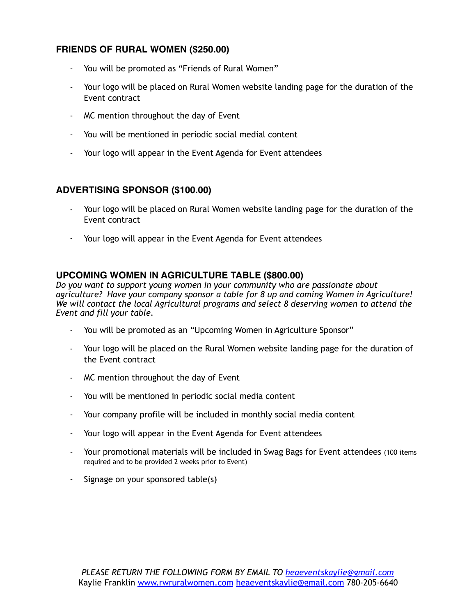# **FRIENDS OF RURAL WOMEN (\$250.00)**

- You will be promoted as "Friends of Rural Women"
- Your logo will be placed on Rural Women website landing page for the duration of the Event contract
- MC mention throughout the day of Event
- You will be mentioned in periodic social medial content
- Your logo will appear in the Event Agenda for Event attendees

# **ADVERTISING SPONSOR (\$100.00)**

- Your logo will be placed on Rural Women website landing page for the duration of the Event contract
- Your logo will appear in the Event Agenda for Event attendees

## **UPCOMING WOMEN IN AGRICULTURE TABLE (\$800.00)**

*Do you want to support young women in your community who are passionate about agriculture? Have your company sponsor a table for 8 up and coming Women in Agriculture! We will contact the local Agricultural programs and select 8 deserving women to attend the Event and fill your table.*

- You will be promoted as an "Upcoming Women in Agriculture Sponsor"
- Your logo will be placed on the Rural Women website landing page for the duration of the Event contract
- MC mention throughout the day of Event
- You will be mentioned in periodic social media content
- Your company profile will be included in monthly social media content
- Your logo will appear in the Event Agenda for Event attendees
- Your promotional materials will be included in Swag Bags for Event attendees (100 items required and to be provided 2 weeks prior to Event)
- Signage on your sponsored table(s)